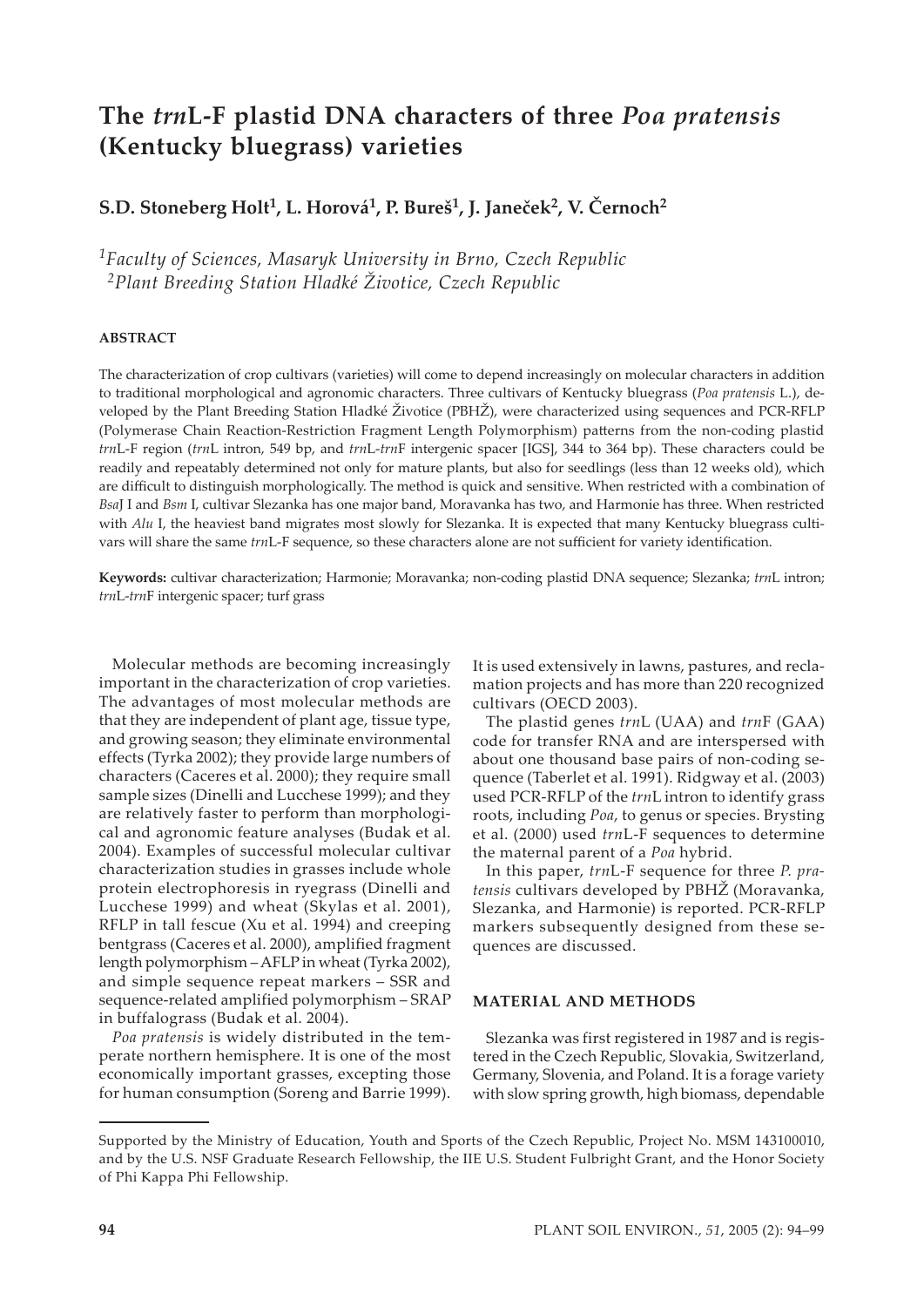# **The** *trn***L-F plastid DNA characters of three** *Poa pratensis* **(Kentucky bluegrass) varieties**

# **S.D. Stoneberg Holt1, L. Horová1, P. Bureš1, J. Janeček2, V. Černoch2**

*1Faculty of Sciences, Masaryk University in Brno, Czech Republic 2Plant Breeding Station Hladké Životice, Czech Republic*

# **ABSTRACT**

The characterization of crop cultivars (varieties) will come to depend increasingly on molecular characters in addition to traditional morphological and agronomic characters. Three cultivars of Kentucky bluegrass (*Poa pratensis* L.), developed by the Plant Breeding Station Hladké Životice (PBHŽ), were characterized using sequences and PCR-RFLP (Polymerase Chain Reaction-Restriction Fragment Length Polymorphism) pa�erns from the non-coding plastid *trn*L-F region (*trn*L intron, 549 bp, and *trn*L-*trn*F intergenic spacer [IGS], 344 to 364 bp). These characters could be readily and repeatably determined not only for mature plants, but also for seedlings (less than 12 weeks old), which are difficult to distinguish morphologically. The method is quick and sensitive. When restricted with a combination of *Bsa*J I and *Bsm* I, cultivar Slezanka has one major band, Moravanka has two, and Harmonie has three. When restricted with *Alu I*, the heaviest band migrates most slowly for Slezanka. It is expected that many Kentucky bluegrass cultivars will share the same *trn*L-F sequence, so these characters alone are not sufficient for variety identification.

**Keywords:** cultivar characterization; Harmonie; Moravanka; non-coding plastid DNA sequence; Slezanka; *trn*L intron; *trn*L-*trn*F intergenic spacer; turf grass

Molecular methods are becoming increasingly important in the characterization of crop varieties. The advantages of most molecular methods are that they are independent of plant age, tissue type, and growing season; they eliminate environmental effects (Tyrka 2002); they provide large numbers of characters (Caceres et al. 2000); they require small sample sizes (Dinelli and Lucchese 1999); and they are relatively faster to perform than morphological and agronomic feature analyses (Budak et al. 2004). Examples of successful molecular cultivar characterization studies in grasses include whole protein electrophoresis in ryegrass (Dinelli and Lucchese 1999) and wheat (Skylas et al. 2001), RFLP in tall fescue (Xu et al. 1994) and creeping bentgrass (Caceres et al. 2000), amplified fragment length polymorphism – AFLP in wheat (Tyrka 2002), and simple sequence repeat markers – SSR and sequence-related amplified polymorphism – SRAP in buffalograss (Budak et al. 2004).

*Poa pratensis* is widely distributed in the temperate northern hemisphere. It is one of the most economically important grasses, excepting those for human consumption (Soreng and Barrie 1999). It is used extensively in lawns, pastures, and reclamation projects and has more than 220 recognized cultivars (OECD 2003).

The plastid genes *trn*L (UAA) and *trn*F (GAA) code for transfer RNA and are interspersed with about one thousand base pairs of non-coding sequence (Taberlet et al. 1991). Ridgway et al. (2003) used PCR-RFLP of the *trn*L intron to identify grass roots, including *Poa*, to genus or species. Brysting et al. (2000) used *trn*L-F sequences to determine the maternal parent of a *Poa* hybrid.

In this paper, *trn*L-F sequence for three *P. pratensis* cultivars developed by PBHŽ (Moravanka, Slezanka, and Harmonie) is reported. PCR-RFLP markers subsequently designed from these sequences are discussed.

#### **MATERIAL AND METHODS**

Slezanka was first registered in 1987 and is registered in the Czech Republic, Slovakia, Switzerland, Germany, Slovenia, and Poland. It is a forage variety with slow spring growth, high biomass, dependable

Supported by the Ministry of Education, Youth and Sports of the Czech Republic, Project No. MSM 143100010, and by the U.S. NSF Graduate Research Fellowship, the IIE U.S. Student Fulbright Grant, and the Honor Society of Phi Kappa Phi Fellowship.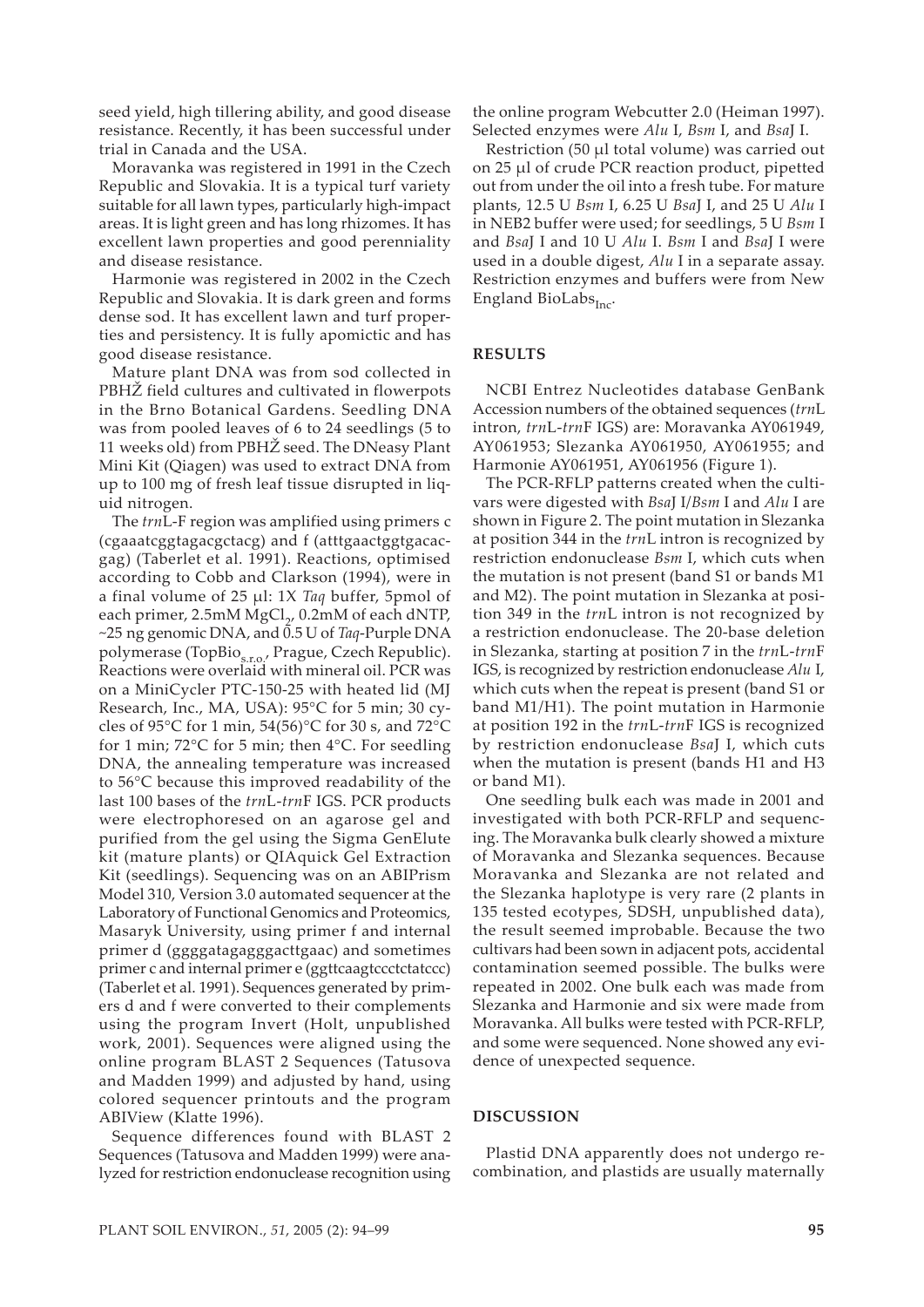seed yield, high tillering ability, and good disease resistance. Recently, it has been successful under trial in Canada and the USA.

Moravanka was registered in 1991 in the Czech Republic and Slovakia. It is a typical turf variety suitable for all lawn types, particularly high-impact areas. It is light green and has long rhizomes. It has excellent lawn properties and good perenniality and disease resistance.

Harmonie was registered in 2002 in the Czech Republic and Slovakia. It is dark green and forms dense sod. It has excellent lawn and turf properties and persistency. It is fully apomictic and has good disease resistance.

Mature plant DNA was from sod collected in PBHŽ field cultures and cultivated in flowerpots in the Brno Botanical Gardens. Seedling DNA was from pooled leaves of 6 to 24 seedlings (5 to 11 weeks old) from PBHŽ seed. The DNeasy Plant Mini Kit (Qiagen) was used to extract DNA from up to 100 mg of fresh leaf tissue disrupted in liquid nitrogen.

The *trn*L-F region was amplified using primers c (cgaaatcggtagacgctacg) and f (atttgaactggtgacacgag) (Taberlet et al. 1991). Reactions, optimised according to Cobb and Clarkson (1994), were in a final volume of 25 µl: 1X *Taq* buffer, 5pmol of each primer, 2.5mM MgCl<sub>2</sub>, 0.2mM of each dNTP, ~25 ng genomic DNA, and 0.5 U of *Taq*-Purple DNA polymerase (TopBio<sub>s.r.o.</sub>, Prague, Czech Republic). Reactions were overlaid with mineral oil. PCR was on a MiniCycler PTC-150-25 with heated lid (MJ Research, Inc., MA, USA): 95°C for 5 min; 30 cycles of 95 $\degree$ C for 1 min, 54(56) $\degree$ C for 30 s, and 72 $\degree$ C for 1 min; 72°C for 5 min; then 4°C. For seedling DNA, the annealing temperature was increased to 56°C because this improved readability of the last 100 bases of the *trn*L-*trn*F IGS. PCR products were electrophoresed on an agarose gel and purified from the gel using the Sigma GenElute kit (mature plants) or QIAquick Gel Extraction Kit (seedlings). Sequencing was on an ABIPrism Model 310, Version 3.0 automated sequencer at the Laboratory of Functional Genomics and Proteomics, Masaryk University, using primer f and internal primer d (ggggatagagggacttgaac) and sometimes primer c and internal primer e (ggttcaagtccctctatccc) (Taberlet et al. 1991). Sequences generated by primers d and f were converted to their complements using the program Invert (Holt, unpublished work, 2001). Sequences were aligned using the online program BLAST 2 Sequences (Tatusova and Madden 1999) and adjusted by hand, using colored sequencer printouts and the program ABIView (Klatte 1996).

Sequence differences found with BLAST 2 Sequences (Tatusova and Madden 1999) were analyzed for restriction endonuclease recognition using

the online program Webcutter 2.0 (Heiman 1997). Selected enzymes were *Alu* I, *Bsm* I, and *Bsa*J I.

Restriction (50 µl total volume) was carried out on 25 µl of crude PCR reaction product, pipetted out from under the oil into a fresh tube. For mature plants, 12.5 U *Bsm* I, 6.25 U *Bsa*J I, and 25 U *Alu* I in NEB2 buffer were used; for seedlings, 5 U *Bsm* I and *Bsa*J I and 10 U *Alu* I. *Bsm* I and *Bsa*J I were used in a double digest, *Alu* I in a separate assay. Restriction enzymes and buffers were from New England BioLabs $_{\text{Inc}}$ .

# **RESULTS**

NCBI Entrez Nucleotides database GenBank Accession numbers of the obtained sequences (*trn*L intron, *trn*L-*trn*F IGS) are: Moravanka AY061949, AY061953; Slezanka AY061950, AY061955; and Harmonie AY061951, AY061956 (Figure 1).

The PCR-RFLP patterns created when the cultivars were digested with *Bsa*J I/*Bsm* I and *Alu* I are shown in Figure 2. The point mutation in Slezanka at position 344 in the *trn*L intron is recognized by restriction endonuclease *Bsm* I, which cuts when the mutation is not present (band S1 or bands M1 and M2). The point mutation in Slezanka at position 349 in the *trn*L intron is not recognized by a restriction endonuclease. The 20-base deletion in Slezanka, starting at position 7 in the *trn*L-*trn*F IGS, is recognized by restriction endonuclease *Alu* I, which cuts when the repeat is present (band S1 or band M1/H1). The point mutation in Harmonie at position 192 in the *trn*L-*trn*F IGS is recognized by restriction endonuclease *Bsa*J I, which cuts when the mutation is present (bands H1 and H3 or band M1).

One seedling bulk each was made in 2001 and investigated with both PCR-RFLP and sequencing. The Moravanka bulk clearly showed a mixture of Moravanka and Slezanka sequences. Because Moravanka and Slezanka are not related and the Slezanka haplotype is very rare (2 plants in 135 tested ecotypes, SDSH, unpublished data), the result seemed improbable. Because the two cultivars had been sown in adjacent pots, accidental contamination seemed possible. The bulks were repeated in 2002. One bulk each was made from Slezanka and Harmonie and six were made from Moravanka. All bulks were tested with PCR-RFLP, and some were sequenced. None showed any evidence of unexpected sequence.

### **DISCUSSION**

Plastid DNA apparently does not undergo recombination, and plastids are usually maternally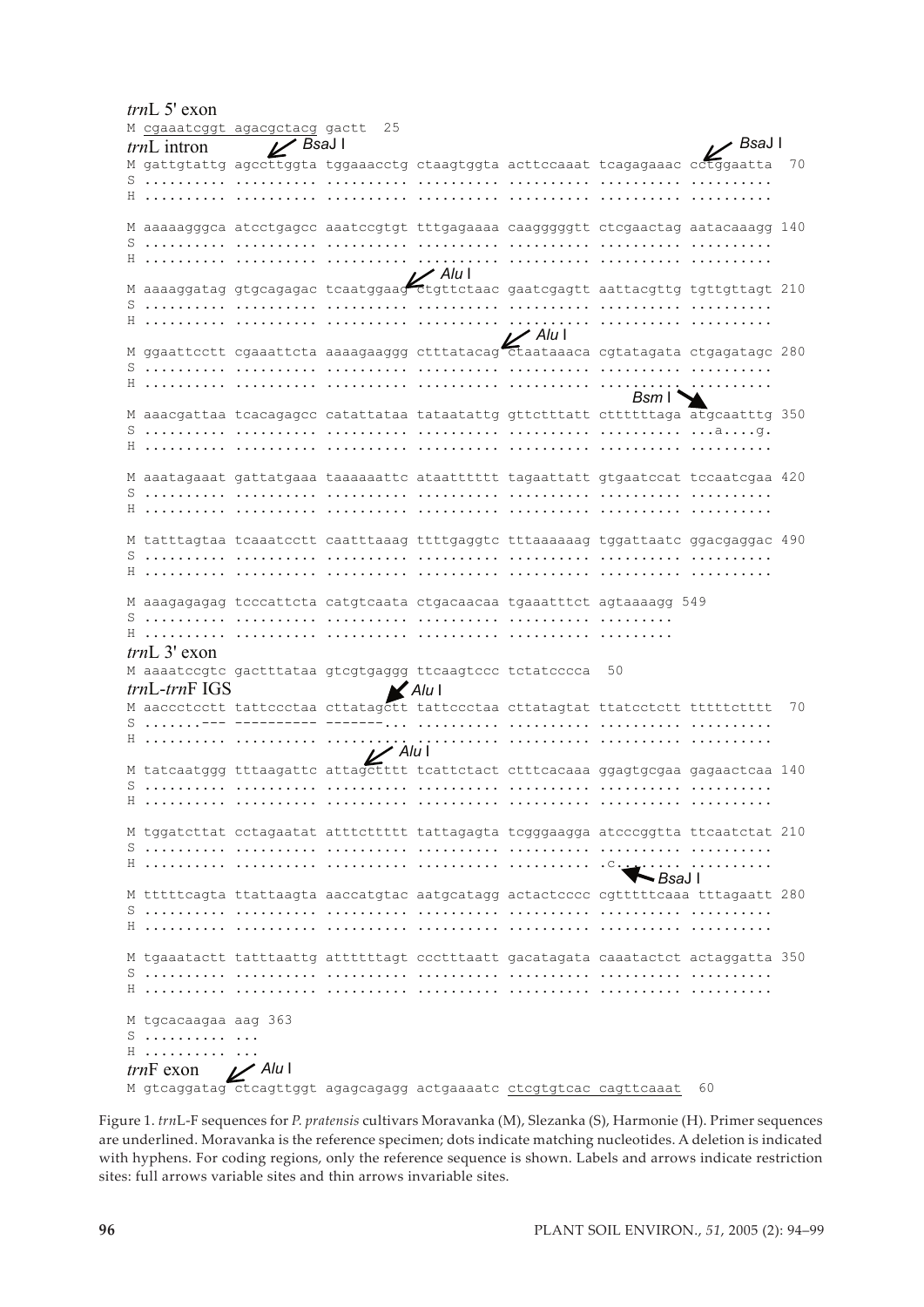*trn*L 5' exon M cgaaatcggt agacgctacg gactt 25<br>  $trnL$  intron V BsaJI *trn*L intron M gattgtattg agccttggta tggaaacctg ctaagtggta acttccaaat tcagagaaac cctggaatta 70 S .......... .......... .......... .......... .......... .......... .......... H .......... .......... .......... .......... .......... .......... .......... M aaaaagggca atcctgagcc aaatccgtgt tttgagaaaa caagggggtt ctcgaactag aatacaaagg 140 S .......... .......... .......... .......... .......... .......... .......... H .......... .......... .......... .......... .......... .......... .......... M aaaaggatag gtgcagagac tcaatggaag ctgttctaac gaatcgagtt aattacgttg tgttgttagt 210  $\textbf{S} \textbf{...} \textbf{...} \textbf{...} \textbf{...} \textbf{...} \textbf{...} \textbf{...} \textbf{...} \textbf{...} \textbf{...} \textbf{...} \textbf{...} \textbf{...} \textbf{...} \textbf{...} \textbf{...} \textbf{...} \textbf{...} \textbf{...} \textbf{...} \textbf{...} \textbf{...} \textbf{...} \textbf{...} \textbf{...} \textbf{...} \textbf{...} \textbf{...} \textbf{...} \textbf{...} \textbf{...} \textbf{...} \textbf{...} \textbf{...} \textbf{...} \textbf{$ H .......... .......... .......... .......... .......... .......... .......... M ggaattcctt cgaaattcta aaaagaaggg ctttatacag ctaataaaca cgtatagata ctgagatagc 280 S .......... .......... .......... .......... .......... .......... .......... H .......... .......... .......... .......... .......... .......... .......... M aaacgattaa tcacagagcc catattataa tataatattg gttctttatt cttttttaga atgcaatttg 350 S .......... .......... .......... .......... .......... .......... ...a....g. H .......... .......... .......... .......... .......... .......... .......... M aaatagaaat gattatgaaa taaaaaattc ataatttttt tagaattatt gtgaatccat tccaatcgaa 420 S .......... .......... .......... .......... .......... .......... .......... H .......... .......... .......... .......... .......... .......... .......... M tatttagtaa tcaaatcctt caatttaaag ttttgaggtc tttaaaaaag tggattaatc ggacgaggac 490 S .......... .......... .......... .......... .......... .......... .......... H .......... .......... .......... .......... .......... .......... .......... M aaagagagag tcccattcta catgtcaata ctgacaacaa tgaaatttct agtaaaagg 549 S .......... .......... .......... .......... .......... ......... H .......... .......... .......... .......... .......... ......... *trn*L 3' exon M aaaatccgtc gactttataa gtcgtgaggg ttcaagtccc tctatcccca 50 *trn*L-*trn*F IGS M aaccctcctt tattccctaa cttatagctt tattccctaa cttatagtat ttatcctctt tttttctttt 70 S .......--- ---------- -------... .......... .......... .......... .......... H .......... .......... .......... .......... .......... .......... .......... M tatcaatggg tttaagattc attagctttt tcattctact ctttcacaaa ggagtgcgaa gagaactcaa 140 S .......... .......... .......... .......... .......... .......... .......... H .......... .......... .......... .......... .......... .......... .......... M tggatcttat cctagaatat atttcttttt tattagagta tcgggaagga atcccggtta ttcaatctat 210 S .......... .......... .......... .......... .......... .......... .......... H .......... .......... .......... .......... .......... .c........ .......... M tttttcagta ttattaagta aaccatgtac aatgcatagg actactcccc cgtttttcaaa tttagaatt 280 S .......... .......... .......... .......... .......... .......... .......... H .......... .......... .......... .......... .......... .......... .......... M tgaaatactt tatttaattg attttttagt ccctttaatt gacatagata caaatactct actaggatta 350 S .......... .......... .......... .......... .......... .......... .......... H .......... .......... .......... .......... .......... .......... .......... M tgcacaagaa aag 363 S .......... ... H .......... ... *trn*F exon M gtcaggatag ctcagttggt agagcagagg actgaaaatc <u>ctcgtgtcac cagttcaaat</u> 60 *Alu* I **www.communister**<br>*Bsa*J I *Bsm* I *Bsa*J I *Bsa*J I *Alu* I *Alu* I *Alu* I *Alu* I

Figure 1. *trn*L-F sequences for *P. pratensis* cultivars Moravanka (M), Slezanka (S), Harmonie (H). Primer sequences are underlined. Moravanka is the reference specimen; dots indicate matching nucleotides. A deletion is indicated with hyphens. For coding regions, only the reference sequence is shown. Labels and arrows indicate restriction sites: full arrows variable sites and thin arrows invariable sites.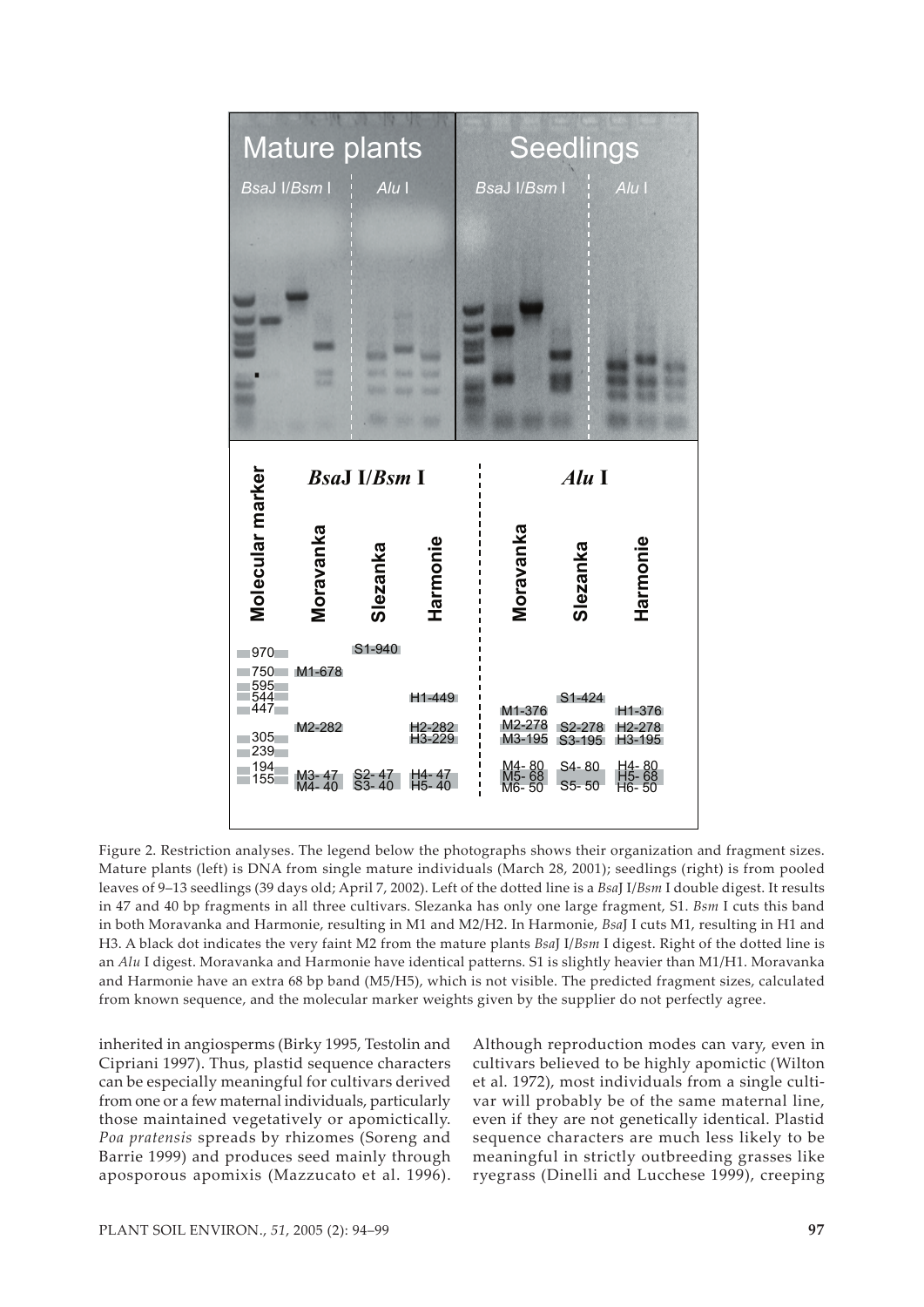

Figure 2. Restriction analyses. The legend below the photographs shows their organization and fragment sizes. Mature plants (left) is DNA from single mature individuals (March 28, 2001); seedlings (right) is from pooled leaves of 9–13 seedlings (39 days old; April 7, 2002). Left of the dotted line is a *Bsa*J I/*Bsm* I double digest. It results in 47 and 40 bp fragments in all three cultivars. Slezanka has only one large fragment, S1. *Bsm* I cuts this band in both Moravanka and Harmonie, resulting in M1 and M2/H2. In Harmonie, *Bsa*J I cuts M1, resulting in H1 and H3. A black dot indicates the very faint M2 from the mature plants *Bsa*J I/*Bsm* I digest. Right of the dotted line is an *Alu* I digest. Moravanka and Harmonie have identical patterns. S1 is slightly heavier than M1/H1. Moravanka and Harmonie have an extra 68 bp band (M5/H5), which is not visible. The predicted fragment sizes, calculated from known sequence, and the molecular marker weights given by the supplier do not perfectly agree.

inherited in angiosperms (Birky 1995, Testolin and Cipriani 1997). Thus, plastid sequence characters can be especially meaningful for cultivars derived from one or a few maternal individuals, particularly those maintained vegetatively or apomictically. *Poa pratensis* spreads by rhizomes (Soreng and Barrie 1999) and produces seed mainly through aposporous apomixis (Mazzucato et al. 1996).

Although reproduction modes can vary, even in cultivars believed to be highly apomictic (Wilton et al. 1972), most individuals from a single cultivar will probably be of the same maternal line, even if they are not genetically identical. Plastid sequence characters are much less likely to be meaningful in strictly outbreeding grasses like ryegrass (Dinelli and Lucchese 1999), creeping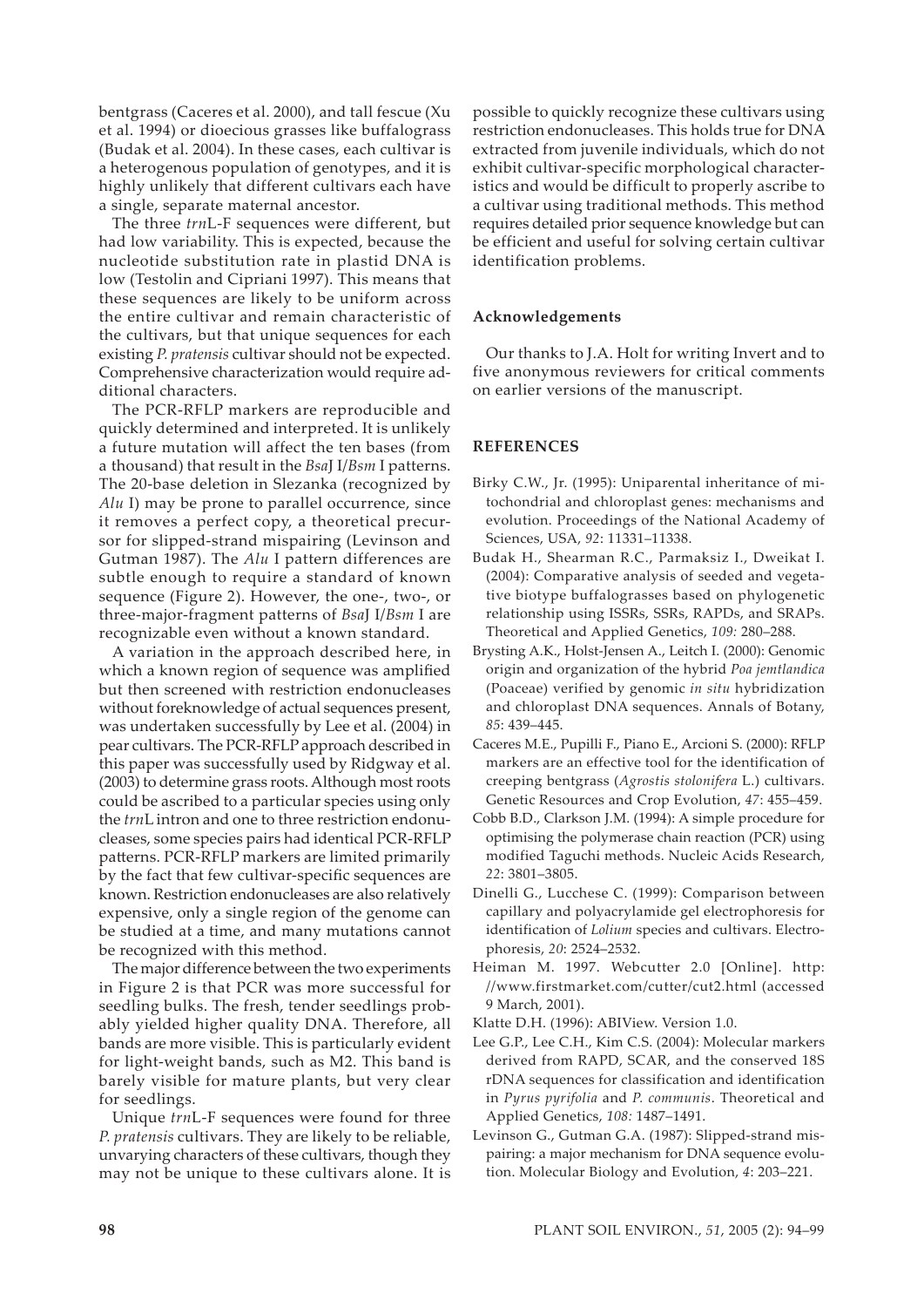bentgrass (Caceres et al. 2000), and tall fescue (Xu et al. 1994) or dioecious grasses like buffalograss (Budak et al. 2004). In these cases, each cultivar is a heterogenous population of genotypes, and it is highly unlikely that different cultivars each have a single, separate maternal ancestor.

The three *trn*L-F sequences were different, but had low variability. This is expected, because the nucleotide substitution rate in plastid DNA is low (Testolin and Cipriani 1997). This means that these sequences are likely to be uniform across the entire cultivar and remain characteristic of the cultivars, but that unique sequences for each existing *P. pratensis* cultivar should not be expected. Comprehensive characterization would require additional characters.

The PCR-RFLP markers are reproducible and quickly determined and interpreted. It is unlikely a future mutation will affect the ten bases (from a thousand) that result in the *Bsa*J I/*Bsm* I patterns. The 20-base deletion in Slezanka (recognized by *Alu* I) may be prone to parallel occurrence, since it removes a perfect copy, a theoretical precursor for slipped-strand mispairing (Levinson and Gutman 1987). The *Alu* I pattern differences are subtle enough to require a standard of known sequence (Figure 2). However, the one-, two-, or three-major-fragment patterns of *Bsa*J I/*Bsm* I are recognizable even without a known standard.

A variation in the approach described here, in which a known region of sequence was amplified but then screened with restriction endonucleases without foreknowledge of actual sequences present, was undertaken successfully by Lee et al. (2004) in pear cultivars. The PCR-RFLP approach described in this paper was successfully used by Ridgway et al. (2003) to determine grass roots. Although most roots could be ascribed to a particular species using only the *trn*L intron and one to three restriction endonucleases, some species pairs had identical PCR-RFLP patterns. PCR-RFLP markers are limited primarily by the fact that few cultivar-specific sequences are known. Restriction endonucleases are also relatively expensive, only a single region of the genome can be studied at a time, and many mutations cannot be recognized with this method.

The major difference between the two experiments in Figure 2 is that PCR was more successful for seedling bulks. The fresh, tender seedlings probably yielded higher quality DNA. Therefore, all bands are more visible. This is particularly evident for light-weight bands, such as M2. This band is barely visible for mature plants, but very clear for seedlings.

Unique *trn*L-F sequences were found for three *P. pratensis* cultivars. They are likely to be reliable, unvarying characters of these cultivars, though they may not be unique to these cultivars alone. It is

possible to quickly recognize these cultivars using restriction endonucleases. This holds true for DNA extracted from juvenile individuals, which do not exhibit cultivar-specific morphological characteristics and would be difficult to properly ascribe to a cultivar using traditional methods. This method requires detailed prior sequence knowledge but can be efficient and useful for solving certain cultivar identification problems.

#### **Acknowledgements**

Our thanks to J.A. Holt for writing Invert and to five anonymous reviewers for critical comments on earlier versions of the manuscript.

#### **REFERENCES**

- Birky C.W., Jr. (1995): Uniparental inheritance of mitochondrial and chloroplast genes: mechanisms and evolution. Proceedings of the National Academy of Sciences, USA, *92*: 11331–11338.
- Budak H., Shearman R.C., Parmaksiz I., Dweikat I. (2004): Comparative analysis of seeded and vegetative biotype buffalograsses based on phylogenetic relationship using ISSRs, SSRs, RAPDs, and SRAPs. Theoretical and Applied Genetics, *109:* 280–288.
- Brysting A.K., Holst-Jensen A., Leitch I. (2000): Genomic origin and organization of the hybrid *Poa jemtlandica*  (Poaceae) verified by genomic *in situ* hybridization and chloroplast DNA sequences. Annals of Botany, *85*: 439–445.
- Caceres M.E., Pupilli F., Piano E., Arcioni S. (2000): RFLP markers are an effective tool for the identification of creeping bentgrass (*Agrostis stolonifera* L.) cultivars. Genetic Resources and Crop Evolution, *47*: 455–459.
- Cobb B.D., Clarkson J.M. (1994): A simple procedure for optimising the polymerase chain reaction (PCR) using modified Taguchi methods. Nucleic Acids Research, *22*: 3801–3805.
- Dinelli G., Lucchese C. (1999): Comparison between capillary and polyacrylamide gel electrophoresis for identification of *Lolium* species and cultivars. Electrophoresis, *20*: 2524–2532.
- Heiman M. 1997. Webcutter 2.0 [Online]. http: //www.firstmarket.com/cutter/cut2.html (accessed 9 March, 2001).
- Klatte D.H. (1996): ABIView. Version 1.0.
- Lee G.P., Lee C.H., Kim C.S. (2004): Molecular markers derived from RAPD, SCAR, and the conserved 18S rDNA sequences for classification and identification in *Pyrus pyrifolia* and *P. communis*. Theoretical and Applied Genetics, *108:* 1487–1491.
- Levinson G., Gutman G.A. (1987): Slipped-strand mispairing: a major mechanism for DNA sequence evolution. Molecular Biology and Evolution, *4*: 203–221.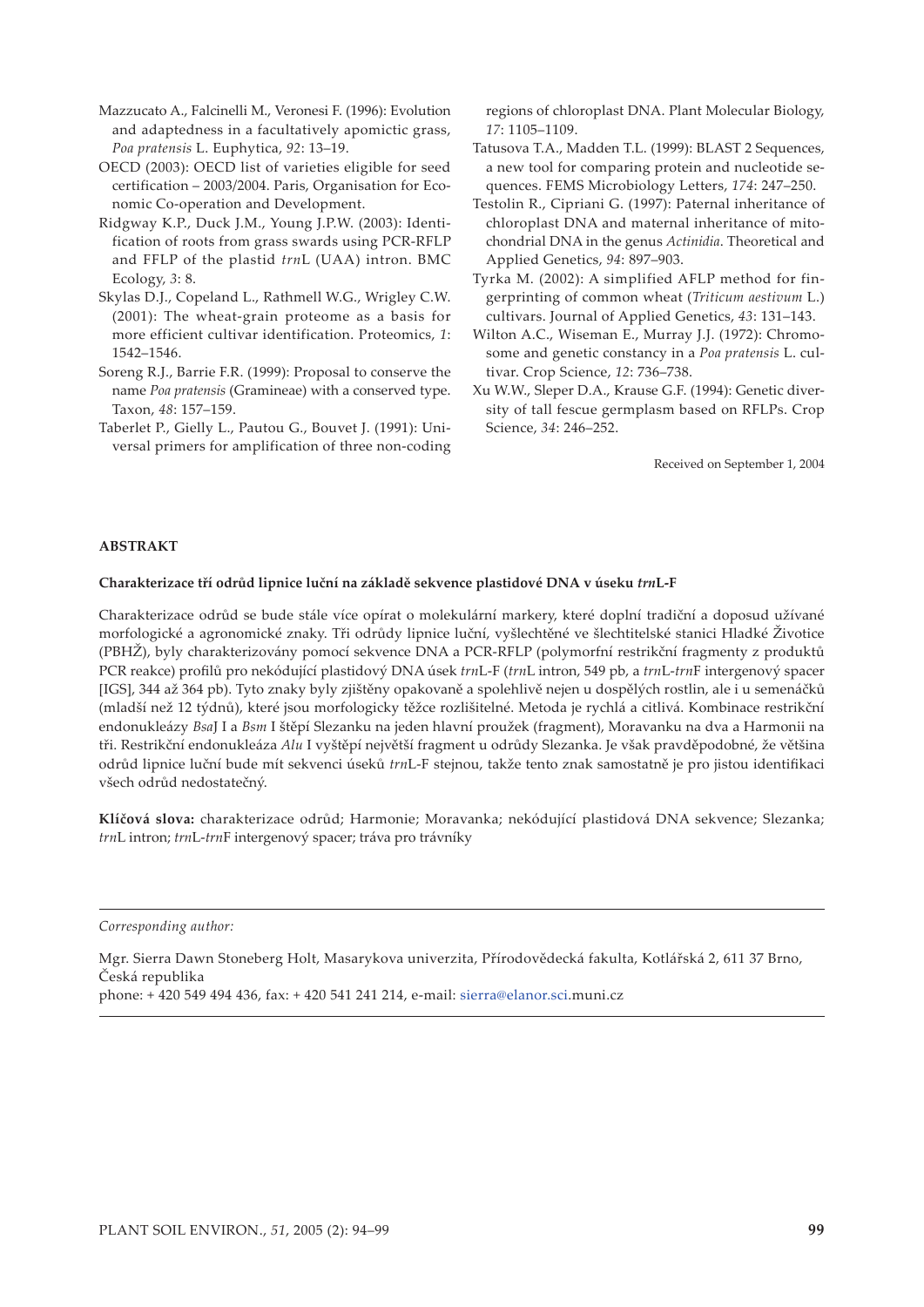- Mazzucato A., Falcinelli M., Veronesi F. (1996): Evolution and adaptedness in a facultatively apomictic grass, *Poa pratensis* L. Euphytica, *92*: 13–19.
- OECD (2003): OECD list of varieties eligible for seed certification – 2003/2004. Paris, Organisation for Economic Co-operation and Development.
- Ridgway K.P., Duck J.M., Young J.P.W. (2003): Identification of roots from grass swards using PCR-RFLP and FFLP of the plastid *trn*L (UAA) intron. BMC Ecology, *3*: 8.
- Skylas D.J., Copeland L., Rathmell W.G., Wrigley C.W. (2001): The wheat-grain proteome as a basis for more efficient cultivar identification. Proteomics, *1*: 1542–1546.
- Soreng R.J., Barrie F.R. (1999): Proposal to conserve the name *Poa pratensis* (Gramineae) with a conserved type. Taxon, *48*: 157–159.
- Taberlet P., Gielly L., Pautou G., Bouvet J. (1991): Universal primers for amplification of three non-coding

regions of chloroplast DNA. Plant Molecular Biology, *17*: 1105–1109.

- Tatusova T.A., Madden T.L. (1999): BLAST 2 Sequences, a new tool for comparing protein and nucleotide sequences. FEMS Microbiology Letters, *174*: 247–250.
- Testolin R., Cipriani G. (1997): Paternal inheritance of chloroplast DNA and maternal inheritance of mitochondrial DNA in the genus *Actinidia*. Theoretical and Applied Genetics, *94*: 897–903.
- Tyrka M. (2002): A simplified AFLP method for fingerprinting of common wheat (*Triticum aestivum* L.) cultivars. Journal of Applied Genetics, *43*: 131–143.
- Wilton A.C., Wiseman E., Murray J.J. (1972): Chromosome and genetic constancy in a *Poa pratensis* L. cultivar. Crop Science, *12*: 736–738.
- Xu W.W., Sleper D.A., Krause G.F. (1994): Genetic diversity of tall fescue germplasm based on RFLPs. Crop Science, *34*: 246–252.

Received on September 1, 2004

### **ABSTRAKT**

#### **Charakterizace tří odrůd lipnice luční na základě sekvence plastidové DNA v úseku** *trn***L-F**

Charakterizace odrůd se bude stále více opírat o molekulární markery, které doplní tradiční a doposud užívané morfologické a agronomické znaky. Tři odrůdy lipnice luční, vyšlechtěné ve šlechtitelské stanici Hladké Životice (PBHŽ), byly charakterizovány pomocí sekvence DNA a PCR-RFLP (polymorfní restrikční fragmenty z produktů PCR reakce) profilů pro nekódující plastidový DNA úsek *trn*L-F (*trn*L intron, 549 pb, a *trn*L-*trn*F intergenový spacer [IGS], 344 až 364 pb). Tyto znaky byly zjištěny opakovaně a spolehlivě nejen u dospělých rostlin, ale i u semenáčků (mladší než 12 týdnů), které jsou morfologicky těžce rozlišitelné. Metoda je rychlá a citlivá. Kombinace restrikční endonukleázy *Bsa*J I a *Bsm* I štěpí Slezanku na jeden hlavní proužek (fragment), Moravanku na dva a Harmonii na tři. Restrikční endonukleáza *Alu* I vyštěpí největší fragment u odrůdy Slezanka. Je však pravděpodobné, že většina odrůd lipnice luční bude mít sekvenci úseků *trn*L-F stejnou, takže tento znak samostatně je pro jistou identifikaci všech odrůd nedostatečný.

**Klíčová slova:** charakterizace odrůd; Harmonie; Moravanka; nekódující plastidová DNA sekvence; Slezanka; *trn*L intron; *trn*L-*trn*F intergenový spacer; tráva pro trávníky

*Corresponding author:*

Mgr. Sierra Dawn Stoneberg Holt, Masarykova univerzita, Přírodovědecká fakulta, Kotlářská 2, 611 37 Brno, Česká republika

phone: + 420 549 494 436, fax: + 420 541 241 214, e-mail: sierra@elanor.sci.muni.cz